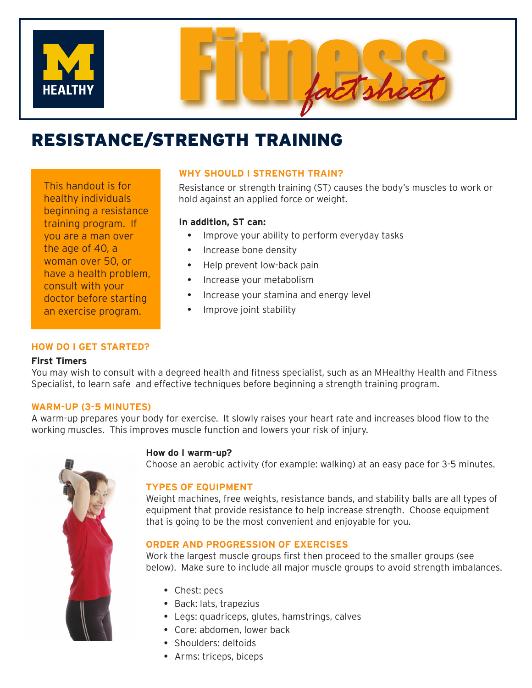

# RESISTANCE/STRENGTH TRAINING

This handout is for healthy individuals beginning a resistance training program. If you are a man over the age of 40, a woman over 50, or have a health problem, consult with your doctor before starting an exercise program.

# **WHY SHOULD I STRENGTH TRAIN?**

Resistance or strength training (ST) causes the body's muscles to work or hold against an applied force or weight.

## **In addition, ST can:**

- Improve your ability to perform everyday tasks
- Increase bone density
- Help prevent low-back pain
- Increase your metabolism
- Increase your stamina and energy level
- Improve joint stability

## **HOW DO I GET STARTED?**

## **First Timers**

You may wish to consult with a degreed health and fitness specialist, such as an MHealthy Health and Fitness Specialist, to learn safe and effective techniques before beginning a strength training program.

## **WARM-UP (3-5 MINUTES)**

A warm-up prepares your body for exercise. It slowly raises your heart rate and increases blood flow to the working muscles. This improves muscle function and lowers your risk of injury.

## **How do I warm-up?**

Choose an aerobic activity (for example: walking) at an easy pace for 3-5 minutes.

## **TYPES OF EQUIPMENT**

Weight machines, free weights, resistance bands, and stability balls are all types of equipment that provide resistance to help increase strength. Choose equipment that is going to be the most convenient and enjoyable for you.

## **ORDER AND PROGRESSION OF EXERCISES**

Work the largest muscle groups first then proceed to the smaller groups (see below). Make sure to include all major muscle groups to avoid strength imbalances.

- Chest: pecs
- Back: lats, trapezius
- Legs: quadriceps, glutes, hamstrings, calves
- Core: abdomen, lower back
- Shoulders: deltoids
- Arms: triceps, biceps